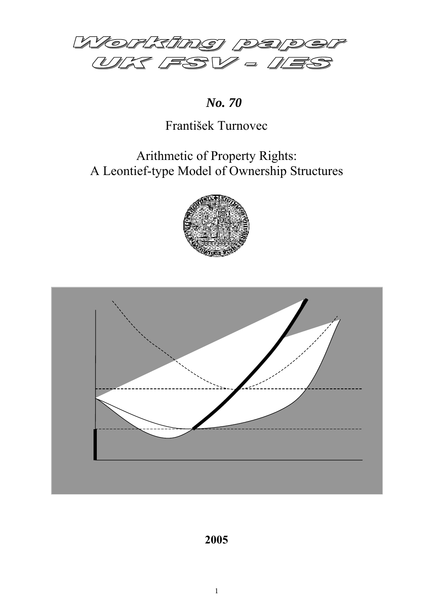

*No. 70*

# František Turnovec

# Arithmetic of Property Rights: A Leontief-type Model of Ownership Structures





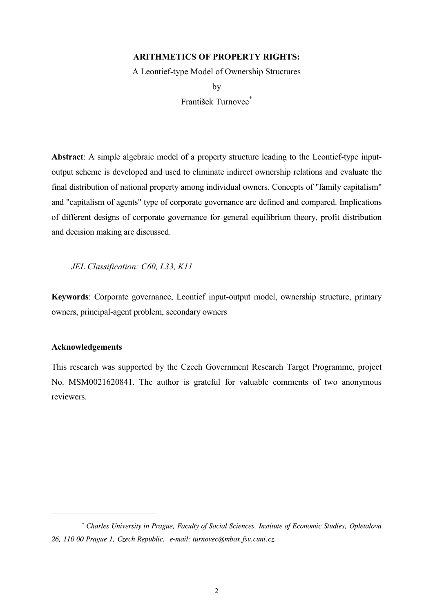## **ARITHMETICS OF PROPERTY RIGHTS:**

A Leontief-type Model of Ownership Structures

by František Turnovec<sup>\*</sup>

**Abstract**: A simple algebraic model of a property structure leading to the Leontief-type inputoutput scheme is developed and used to eliminate indirect ownership relations and evaluate the final distribution of national property among individual owners. Concepts of "family capitalism" and "capitalism of agents" type of corporate governance are defined and compared. Implications of different designs of corporate governance for general equilibrium theory, profit distribution and decision making are discussed.

*JEL Classification: C60, L33, K11*

**Keywords**: Corporate governance, Leontief input-output model, ownership structure, primary owners, principal-agent problem, secondary owners

## **Acknowledgements**

l

This research was supported by the Czech Government Research Target Programme, project No. MSM0021620841. The author is grateful for valuable comments of two anonymous reviewers.

 *<sup>\*</sup> Charles University in Prague, Faculty of Social Sciences, Institute of Economic Studies, Opletalova 26, 110 00 Prague 1, Czech Republic, e-mail: turnovec@mbox.fsv.cuni.cz.*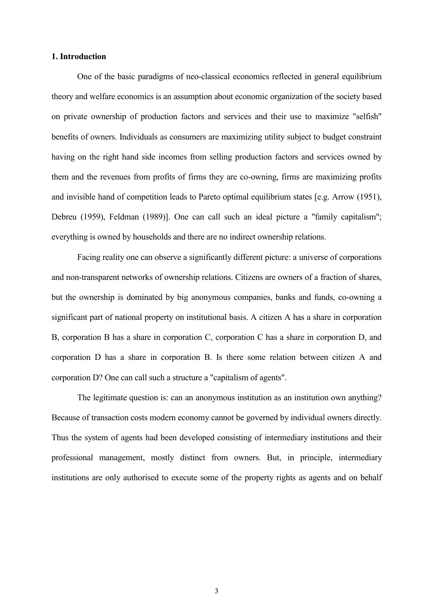## **1. Introduction**

One of the basic paradigms of neo-classical economics reflected in general equilibrium theory and welfare economics is an assumption about economic organization of the society based on private ownership of production factors and services and their use to maximize "selfish" benefits of owners. Individuals as consumers are maximizing utility subject to budget constraint having on the right hand side incomes from selling production factors and services owned by them and the revenues from profits of firms they are co-owning, firms are maximizing profits and invisible hand of competition leads to Pareto optimal equilibrium states [e.g. Arrow (1951), Debreu (1959), Feldman (1989)]. One can call such an ideal picture a "family capitalism"; everything is owned by households and there are no indirect ownership relations.

Facing reality one can observe a significantly different picture: a universe of corporations and non-transparent networks of ownership relations. Citizens are owners of a fraction of shares, but the ownership is dominated by big anonymous companies, banks and funds, co-owning a significant part of national property on institutional basis. A citizen A has a share in corporation B, corporation B has a share in corporation C, corporation C has a share in corporation D, and corporation D has a share in corporation B. Is there some relation between citizen A and corporation D? One can call such a structure a "capitalism of agents".

The legitimate question is: can an anonymous institution as an institution own anything? Because of transaction costs modern economy cannot be governed by individual owners directly. Thus the system of agents had been developed consisting of intermediary institutions and their professional management, mostly distinct from owners. But, in principle, intermediary institutions are only authorised to execute some of the property rights as agents and on behalf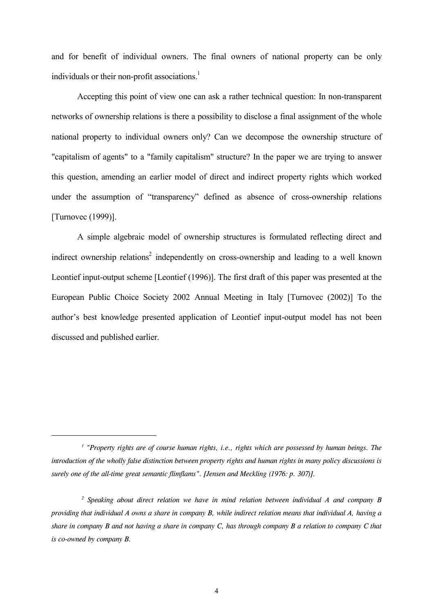and for benefit of individual owners. The final owners of national property can be only individuals or their non-profit associations.<sup>1</sup>

Accepting this point of view one can ask a rather technical question: In non-transparent networks of ownership relations is there a possibility to disclose a final assignment of the whole national property to individual owners only? Can we decompose the ownership structure of "capitalism of agents" to a "family capitalism" structure? In the paper we are trying to answer this question, amending an earlier model of direct and indirect property rights which worked under the assumption of "transparency" defined as absence of cross-ownership relations [Turnovec (1999)].

A simple algebraic model of ownership structures is formulated reflecting direct and indirect ownership relations<sup>2</sup> independently on cross-ownership and leading to a well known Leontief input-output scheme [Leontief (1996)]. The first draft of this paper was presented at the European Public Choice Society 2002 Annual Meeting in Italy [Turnovec (2002)] To the author's best knowledge presented application of Leontief input-output model has not been discussed and published earlier.

l

<sup>&</sup>lt;sup>1</sup> "Property rights are of course human rights, i.e., rights which are possessed by human beings. The *introduction of the wholly false distinction between property rights and human rights in many policy discussions is surely one of the all-time great semantic flimflams". [Jensen and Meckling (1976: p. 307)].*

<sup>&</sup>lt;sup>2</sup> Speaking about direct relation we have in mind relation between individual A and company B *providing that individual A owns a share in company B, while indirect relation means that individual A, having a share in company B and not having a share in company C, has through company B a relation to company C that is co-owned by company B.*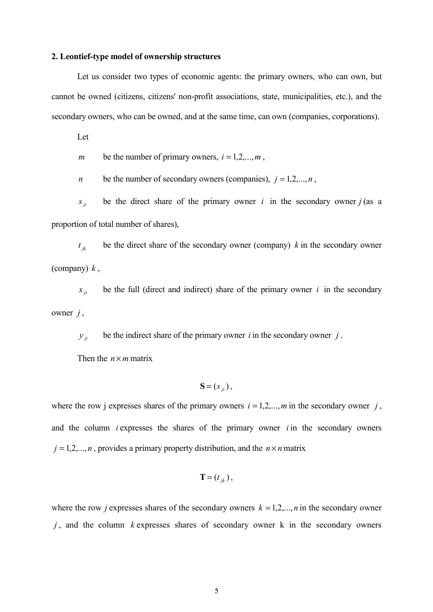### **2. Leontief-type model of ownership structures**

Let us consider two types of economic agents: the primary owners, who can own, but cannot be owned (citizens, citizens' non-profit associations, state, municipalities, etc.), and the secondary owners, who can be owned, and at the same time, can own (companies, corporations).

Let

*m* be the number of primary owners,  $i = 1, 2, \dots, m$ ,

*n* be the number of secondary owners (companies),  $j = 1, 2, ..., n$ ,

 $s_{ii}$  be the direct share of the primary owner *i* in the secondary owner *j* (as a proportion of total number of shares),

 $t_{ik}$  be the direct share of the secondary owner (company) *k* in the secondary owner (company) *k* ,

 $x_{ii}$  be the full (direct and indirect) share of the primary owner *i* in the secondary owner *j* ,

 $y_{ii}$  be the indirect share of the primary owner *i* in the secondary owner *j*.

Then the  $n \times m$  matrix

$$
\mathbf{S} = (s_{ji}),
$$

where the row j expresses shares of the primary owners  $i = 1, 2, \dots, m$  in the secondary owner  $j$ , and the column *i* expresses the shares of the primary owner *i* in the secondary owners  $j = 1, 2, \dots, n$ , provides a primary property distribution, and the  $n \times n$  matrix

$$
\mathbf{T}=(t_{jk}),
$$

where the row *j* expresses shares of the secondary owners  $k = 1, 2, ..., n$  in the secondary owner *j* , and the column *k* expresses shares of secondary owner k in the secondary owners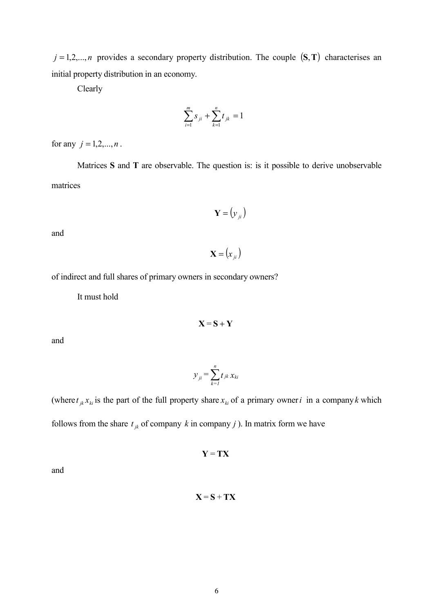$j = 1, 2, \ldots, n$  provides a secondary property distribution. The couple  $(S, T)$  characterises an initial property distribution in an economy.

Clearly

$$
\sum_{i=1}^{m} s_{ji} + \sum_{k=1}^{n} t_{jk} = 1
$$

for any  $j = 1, 2, ..., n$ .

Matrices **S** and **T** are observable. The question is: is it possible to derive unobservable matrices

$$
\mathbf{Y} = (\mathbf{y}_{ji})
$$

and

 $\mathbf{X} = (x_{ji})$ 

of indirect and full shares of primary owners in secondary owners?

It must hold

$$
X = S + Y
$$

and

$$
y_{ji} = \sum_{k=1}^{n} t_{jk} x_{ki}
$$

(where  $t_{ik} x_{ki}$  is the part of the full property share  $x_{ki}$  of a primary owner *i* in a company *k* which follows from the share  $t_{jk}$  of company k in company j ). In matrix form we have

$$
Y = TX
$$

and

## $X = S + TX$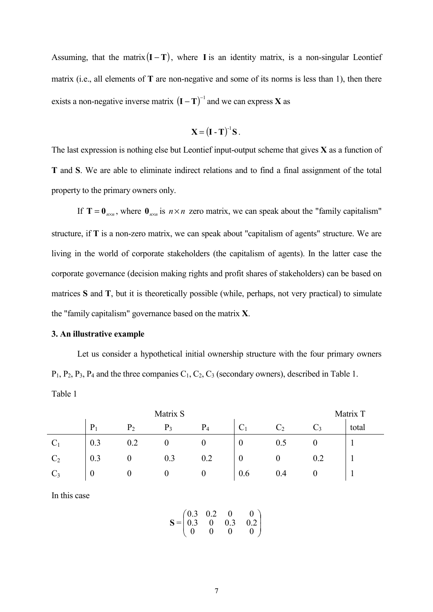Assuming, that the matrix $(I - T)$ , where **I** is an identity matrix, is a non-singular Leontief matrix (i.e., all elements of **T** are non-negative and some of its norms is less than 1), then there exists a non-negative inverse matrix  $(I - T)^{-1}$  and we can express **X** as

$$
\mathbf{X} = (\mathbf{I} - \mathbf{T})^{-1} \mathbf{S}.
$$

The last expression is nothing else but Leontief input-output scheme that gives **X** as a function of **T** and **S**. We are able to eliminate indirect relations and to find a final assignment of the total property to the primary owners only.

If **T** =  $\mathbf{0}_{n \times n}$ , where  $\mathbf{0}_{n \times n}$  is  $n \times n$  zero matrix, we can speak about the "family capitalism" structure, if **T** is a non-zero matrix, we can speak about "capitalism of agents" structure. We are living in the world of corporate stakeholders (the capitalism of agents). In the latter case the corporate governance (decision making rights and profit shares of stakeholders) can be based on matrices **S** and **T**, but it is theoretically possible (while, perhaps, not very practical) to simulate the "family capitalism" governance based on the matrix **X**.

### **3. An illustrative example**

Let us consider a hypothetical initial ownership structure with the four primary owners  $P_1$ ,  $P_2$ ,  $P_3$ ,  $P_4$  and the three companies  $C_1$ ,  $C_2$ ,  $C_3$  (secondary owners), described in Table 1. Table 1

|                | Matrix S |                |       |       |             |           | Matrix T |       |
|----------------|----------|----------------|-------|-------|-------------|-----------|----------|-------|
|                | P        | P <sub>2</sub> | $P_3$ | $P_4$ | $\sim$<br>◡ | $\rm C_2$ |          | total |
| $C_1$          | 0.3      | 0.2            |       |       | U           | U.S       |          |       |
| C <sub>2</sub> | 0.3      |                | 0.3   | 0.2   | U           |           | 0.2      |       |
| $C_3$          | U        |                |       |       | 0.6         | 0.4       |          |       |

In this case

$$
\mathbf{S} = \begin{pmatrix} 0.3 & 0.2 & 0 & 0 \\ 0.3 & 0 & 0.3 & 0.2 \\ 0 & 0 & 0 & 0 \end{pmatrix}
$$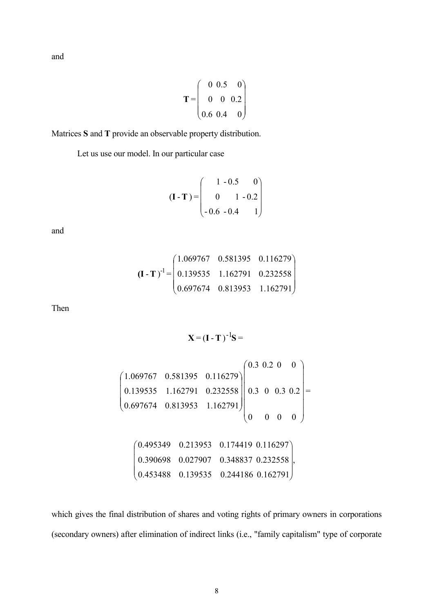and

$$
\mathbf{T} = \begin{pmatrix} 0 & 0.5 & 0 \\ 0 & 0 & 0.2 \\ 0.6 & 0.4 & 0 \end{pmatrix}
$$

Matrices **S** and **T** provide an observable property distribution.

Let us use our model. In our particular case

$$
(\mathbf{I} - \mathbf{T}) = \begin{pmatrix} 1 & -0.5 & 0 \\ 0 & 1 & -0.2 \\ -0.6 & -0.4 & 1 \end{pmatrix}
$$

and

$$
\left(\mathbf{I} - \mathbf{T}\right)^{-1} = \begin{pmatrix} 1.069767 & 0.581395 & 0.116279 \\ 0.139535 & 1.162791 & 0.232558 \\ 0.697674 & 0.813953 & 1.162791 \end{pmatrix}
$$

Then

$$
\mathbf{X} = (\mathbf{I} - \mathbf{T})^{-1} \mathbf{S} =
$$

$$
\begin{pmatrix}\n1.069767 & 0.581395 & 0.116279 \\
0.139535 & 1.162791 & 0.232558 \\
0.697674 & 0.813953 & 1.162791\n\end{pmatrix}\n\begin{pmatrix}\n0.3 & 0.2 & 0 & 0 \\
0.3 & 0 & 0 & 0 & 0 \\
0.3 & 0 & 0 & 0 & 0\n\end{pmatrix} = \begin{pmatrix}\n0.495349 & 0.213953 & 0.174419 & 0.116297 \\
0.390698 & 0.027907 & 0.348837 & 0.232558 \\
0.453488 & 0.139535 & 0.244186 & 0.162791\n\end{pmatrix}
$$

which gives the final distribution of shares and voting rights of primary owners in corporations (secondary owners) after elimination of indirect links (i.e., "family capitalism" type of corporate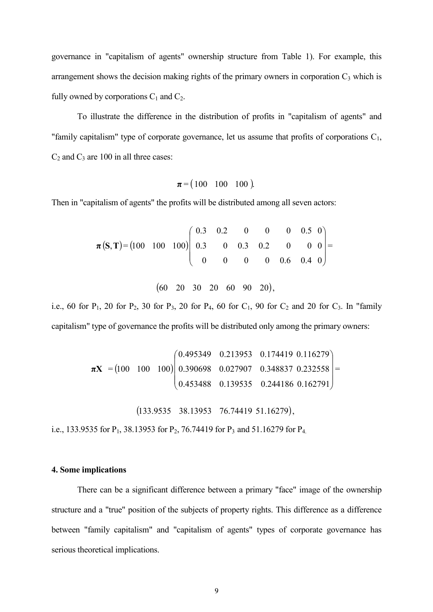governance in "capitalism of agents" ownership structure from Table 1). For example, this arrangement shows the decision making rights of the primary owners in corporation  $C_3$  which is fully owned by corporations  $C_1$  and  $C_2$ .

To illustrate the difference in the distribution of profits in "capitalism of agents" and "family capitalism" type of corporate governance, let us assume that profits of corporations  $C_1$ ,  $C_2$  and  $C_3$  are 100 in all three cases:

$$
\pi = (100 \ 100 \ 100).
$$

Then in "capitalism of agents" the profits will be distributed among all seven actors:

$$
\pi(S, T) = (100 \quad 100 \quad 100) \begin{pmatrix} 0.3 & 0.2 & 0 & 0 & 0 & 0.5 & 0 \\ 0.3 & 0 & 0.3 & 0.2 & 0 & 0 & 0 \\ 0 & 0 & 0 & 0 & 0.6 & 0.4 & 0 \end{pmatrix} = (60 \quad 20 \quad 30 \quad 20 \quad 60 \quad 90 \quad 20),
$$

i.e., 60 for  $P_1$ , 20 for  $P_2$ , 30 for  $P_3$ , 20 for  $P_4$ , 60 for  $C_1$ , 90 for  $C_2$  and 20 for  $C_3$ . In "family capitalism" type of governance the profits will be distributed only among the primary owners:

$$
\boldsymbol{\pi} \mathbf{X} = (100 \quad 100 \quad 100) \begin{pmatrix} 0.495349 & 0.213953 & 0.174419 & 0.116279 \\ 0.390698 & 0.027907 & 0.348837 & 0.232558 \\ 0.453488 & 0.139535 & 0.244186 & 0.162791 \end{pmatrix} =
$$

 $( 133.9535 \quad 38.13953 \quad 76.74419 \quad 51.16279 ),$ 

i.e., 133.9535 for  $P_1$ , 38.13953 for  $P_2$ , 76.74419 for  $P_3$  and 51.16279 for  $P_4$ .

### **4. Some implications**

There can be a significant difference between a primary "face" image of the ownership structure and a "true" position of the subjects of property rights. This difference as a difference between "family capitalism" and "capitalism of agents" types of corporate governance has serious theoretical implications.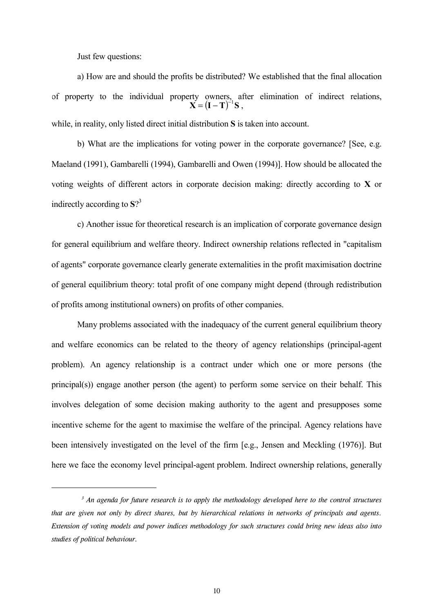Just few questions:

l

a) How are and should the profits be distributed? We established that the final allocation of property to the individual property owners, after elimination of indirect relations, while, in reality, only listed direct initial distribution **S** is taken into account.  $X = (I - T)^{-1}S$ .

b) What are the implications for voting power in the corporate governance? [See, e.g. Maeland (1991), Gambarelli (1994), Gambarelli and Owen (1994)]. How should be allocated the voting weights of different actors in corporate decision making: directly according to **X** or indirectly according to **S**? 3

c) Another issue for theoretical research is an implication of corporate governance design for general equilibrium and welfare theory. Indirect ownership relations reflected in "capitalism of agents" corporate governance clearly generate externalities in the profit maximisation doctrine of general equilibrium theory: total profit of one company might depend (through redistribution of profits among institutional owners) on profits of other companies.

Many problems associated with the inadequacy of the current general equilibrium theory and welfare economics can be related to the theory of agency relationships (principal-agent problem). An agency relationship is a contract under which one or more persons (the principal(s)) engage another person (the agent) to perform some service on their behalf. This involves delegation of some decision making authority to the agent and presupposes some incentive scheme for the agent to maximise the welfare of the principal. Agency relations have been intensively investigated on the level of the firm [e.g., Jensen and Meckling (1976)]. But here we face the economy level principal-agent problem. Indirect ownership relations, generally

<sup>&</sup>lt;sup>3</sup> An agenda for future research is to apply the methodology developed here to the control structures *that are given not only by direct shares, but by hierarchical relations in networks of principals and agents. Extension of voting models and power indices methodology for such structures could bring new ideas also into studies of political behaviour.*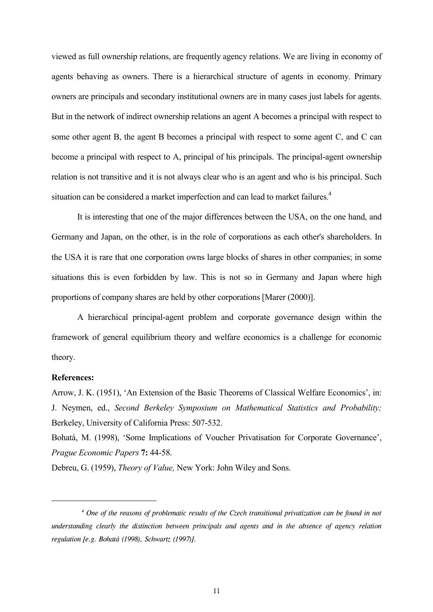viewed as full ownership relations, are frequently agency relations. We are living in economy of agents behaving as owners. There is a hierarchical structure of agents in economy. Primary owners are principals and secondary institutional owners are in many cases just labels for agents. But in the network of indirect ownership relations an agent A becomes a principal with respect to some other agent B, the agent B becomes a principal with respect to some agent C, and C can become a principal with respect to A, principal of his principals. The principal-agent ownership relation is not transitive and it is not always clear who is an agent and who is his principal. Such situation can be considered a market imperfection and can lead to market failures.<sup>4</sup>

It is interesting that one of the major differences between the USA, on the one hand, and Germany and Japan, on the other, is in the role of corporations as each other's shareholders. In the USA it is rare that one corporation owns large blocks of shares in other companies; in some situations this is even forbidden by law. This is not so in Germany and Japan where high proportions of company shares are held by other corporations [Marer (2000)].

A hierarchical principal-agent problem and corporate governance design within the framework of general equilibrium theory and welfare economics is a challenge for economic theory.

#### **References:**

l

Arrow, J. K. (1951), 'An Extension of the Basic Theorems of Classical Welfare Economics', in: J. Neymen, ed., *Second Berkeley Symposium on Mathematical Statistics and Probability;* Berkeley, University of California Press: 507-532.

Bohatá, M. (1998), 'Some Implications of Voucher Privatisation for Corporate Governance', *Prague Economic Papers* **7:** 44-58.

Debreu, G. (1959), *Theory of Value,* New York: John Wiley and Sons.

 *<sup>4</sup> One of the reasons of problematic results of the Czech transitional privatization can be found in not understanding clearly the distinction between principals and agents and in the absence of agency relation regulation [e.g. Bohatá (1998), Schwartz (1997)].*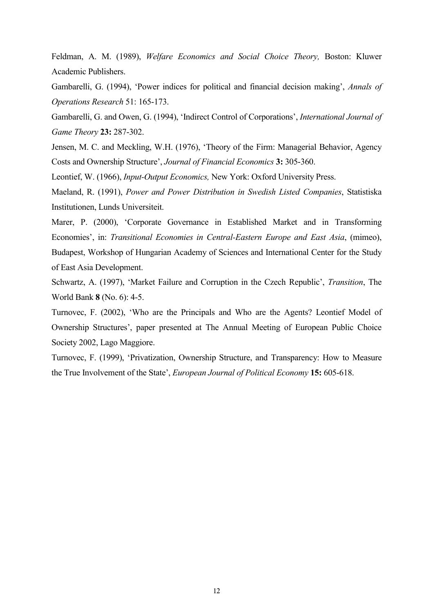Feldman, A. M. (1989), *Welfare Economics and Social Choice Theory,* Boston: Kluwer Academic Publishers.

Gambarelli, G. (1994), 'Power indices for political and financial decision making', *Annals of Operations Research* 51: 165-173.

Gambarelli, G. and Owen, G. (1994), 'Indirect Control of Corporations', *International Journal of Game Theory* **23:** 287-302.

Jensen, M. C. and Meckling, W.H. (1976), 'Theory of the Firm: Managerial Behavior, Agency Costs and Ownership Structure', *Journal of Financial Economics* **3:** 305-360.

Leontief, W. (1966), *Input-Output Economics,* New York: Oxford University Press.

Maeland, R. (1991), *Power and Power Distribution in Swedish Listed Companies*, Statistiska Institutionen, Lunds Universiteit.

Marer, P. (2000), 'Corporate Governance in Established Market and in Transforming Economies', in: *Transitional Economies in Central-Eastern Europe and East Asia*, (mimeo), Budapest, Workshop of Hungarian Academy of Sciences and International Center for the Study of East Asia Development.

Schwartz, A. (1997), 'Market Failure and Corruption in the Czech Republic', *Transition*, The World Bank **8** (No. 6): 4-5.

Turnovec, F. (2002), 'Who are the Principals and Who are the Agents? Leontief Model of Ownership Structures', paper presented at The Annual Meeting of European Public Choice Society 2002, Lago Maggiore.

Turnovec, F. (1999), 'Privatization, Ownership Structure, and Transparency: How to Measure the True Involvement of the State', *European Journal of Political Economy* **15:** 605-618.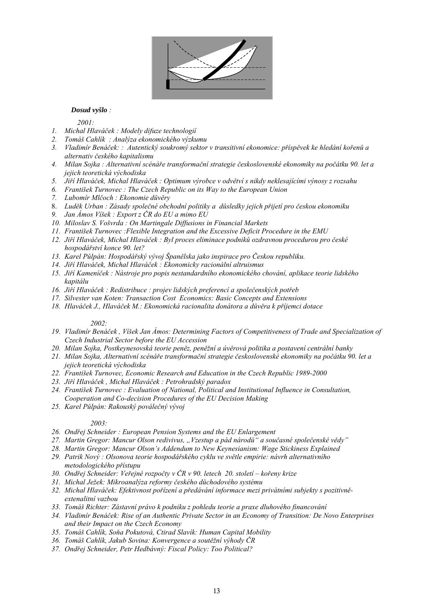

#### *Dosud vyšlo :*

*2001:*

- *1. Michal Hlaváček : Modely difuze technologií*
- *2. Tomáš Cahlík : Analýza ekonomického výzkumu*
- *3. Vladimír Benáček: : Autentický soukromý sektor v transitivní ekonomice: příspěvek ke hledání kořenů a alternativ českého kapitalismu*
- *4. Milan Sojka : Alternativní scénáře transformační strategie československé ekonomiky na počátku 90. let a jejich teoretická východiska*
- *5. Jiří Hlaváček, Michal Hlaváček : Optimum výrobce v odvětví s nikdy neklesajícími výnosy z rozsahu*
- *6. František Turnovec : The Czech Republic on its Way to the European Union*
- *7. Lubomír Mlčoch : Ekonomie důvěry*
- 8. *Luděk Urban : Zásady společné obchodní politiky a důsledky jejich přijetí pro českou ekonomiku*
- *9. Jan Ámos Víšek : Export z ČR do EU a mimo EU*
- *10. Miloslav S. Vošvrda : On Martingale Diffusions in Financial Markets*
- *11. František Turnovec :Flexible Integration and the Excessive Deficit Procedure in the EMU*
- *12. Jiří Hlaváček, Michal Hlaváček : Byl proces eliminace podniků ozdravnou procedurou pro české hospodářství konce 90. let?*
- *13. Karel Půlpán: Hospodářský vývoj Španělska jako inspirace pro Českou republiku.*
- *14. Jiří Hlaváček, Michal Hlaváček : Ekonomicky racionální altruismus*
- *15. Jiří Kameníček : Nástroje pro popis nestandardního ekonomického chování, aplikace teorie lidského kapitálu*
- *16. Jiří Hlaváček : Redistribuce : projev lidských preferencí a společenských potřeb*
- *17. Silvester van Koten: Transaction Cost Economics: Basic Concepts and Extensions*
- *18. Hlaváček J., Hlaváček M.: Ekonomická racionalita donátora a důvěra k příjemci dotace*

#### *2002:*

- *19. Vladimír Benáček , Víšek Jan Ámos: Determining Factors of Competitiveness of Trade and Specialization of Czech Industrial Sector before the EU Accession*
- *20. Milan Sojka, Postkeynesovská teorie peněz, peněžní a úvěrová politika a postavení centrální banky*
- *21. Milan Sojka, Alternativní scénáře transformační strategie československé ekonomiky na počátku 90. let a jejich teoretická východiska*
- *22. František Turnovec, Economic Research and Education in the Czech Republic 1989-2000*
- *23. Jiří Hlaváček , Michal Hlaváček : Petrohradský paradox*
- *24. František Turnovec : Evaluation of National, Political and Institutional Influence in Consultation, Cooperation and Co-decision Procedures of the EU Decision Making*
- *25. Karel Půlpán: Rakouský poválečný vývoj*

#### *2003:*

- *26. Ondřej Schneider : European Pension Systems and the EU Enlargement*
- *27. Martin Gregor: Mancur Olson redivivus, "Vzestup a pád národů" a současné společenské vědy"*
- *28. Martin Gregor: Mancur Olson's Addendum to New Keynesianism: Wage Stickiness Explained*
- *29. Patrik Nový : Olsonova teorie hospodářského cyklu ve světle empirie: návrh alternativního metodologického přístupu*
- *30. Ondřej Schneider: Veřejné rozpočty v ČR v 90. letech 20. století kořeny krize*
- *31. Michal Ježek: Mikroanalýza reformy českého důchodového systému*
- *32. Michal Hlaváček: Efektivnost pořízení a předávání informace mezi privátními subjekty s pozitivněextenalitní vazbou*
- *33. Tomáš Richter: Zástavní právo k podniku z pohledu teorie a praxe dluhového financování*
- *34. Vladimír Benáček: Rise of an Authentic Private Sector in an Economy of Transition: De Novo Enterprises and their Impact on the Czech Economy*
- *35. Tomáš Cahlík, Soňa Pokutová, Ctirad Slavík: Human Capital Mobility*
- *36. Tomáš Cahlík, Jakub Sovina: Konvergence a soutěžní výhody ČR*
- *37. Ondřej Schneider, Petr Hedbávný: Fiscal Policy: Too Political?*